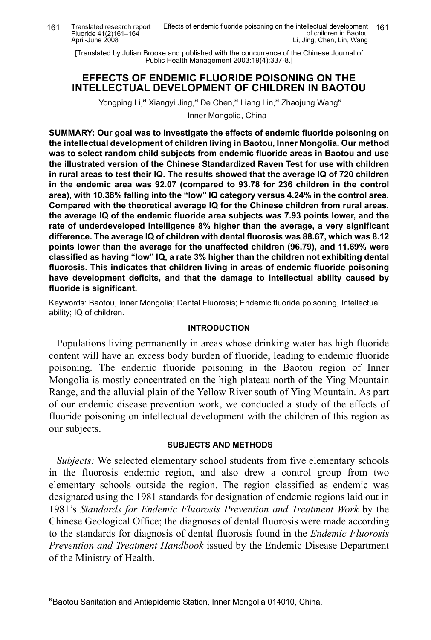Translated research report Fluoride 41(2)161–164 April-June 2008

[Translated by Julian Brooke and published with the concurrence of the Chinese Journal of Public Health Management 2003:19(4):337-8.]

# **EFFECTS OF ENDEMIC FLUORIDE POISONING ON THE INTELLECTUAL DEVELOPMENT OF CHILDREN IN BAOTOU**

Yongping Li,<sup>a</sup> Xiangyi Jing,<sup>a</sup> De Chen,<sup>a</sup> Liang Lin,<sup>a</sup> Zhaojung Wang<sup>a</sup> Inner Mongolia, China

**SUMMARY: Our goal was to investigate the effects of endemic fluoride poisoning on the intellectual development of children living in Baotou, Inner Mongolia. Our method was to select random child subjects from endemic fluoride areas in Baotou and use the illustrated version of the Chinese Standardized Raven Test for use with children in rural areas to test their IQ. The results showed that the average IQ of 720 children in the endemic area was 92.07 (compared to 93.78 for 236 children in the control area), with 10.38% falling into the "low" IQ category versus 4.24% in the control area. Compared with the theoretical average IQ for the Chinese children from rural areas, the average IQ of the endemic fluoride area subjects was 7.93 points lower, and the rate of underdeveloped intelligence 8% higher than the average, a very significant difference. The average IQ of children with dental fluorosis was 88.67, which was 8.12 points lower than the average for the unaffected children (96.79), and 11.69% were classified as having "low" IQ, a rate 3% higher than the children not exhibiting dental fluorosis. This indicates that children living in areas of endemic fluoride poisoning have development deficits, and that the damage to intellectual ability caused by fluoride is significant.**

Keywords: Baotou, Inner Mongolia; Dental Fluorosis; Endemic fluoride poisoning, Intellectual ability; IQ of children.

## **INTRODUCTION**

Populations living permanently in areas whose drinking water has high fluoride content will have an excess body burden of fluoride, leading to endemic fluoride poisoning. The endemic fluoride poisoning in the Baotou region of Inner Mongolia is mostly concentrated on the high plateau north of the Ying Mountain Range, and the alluvial plain of the Yellow River south of Ying Mountain. As part of our endemic disease prevention work, we conducted a study of the effects of fluoride poisoning on intellectual development with the children of this region as our subjects.

# **SUBJECTS AND METHODS**

*Subjects:* We selected elementary school students from five elementary schools in the fluorosis endemic region, and also drew a control group from two elementary schools outside the region. The region classified as endemic was designated using the 1981 standards for designation of endemic regions laid out in 1981's *Standards for Endemic Fluorosis Prevention and Treatment Work* by the Chinese Geological Office; the diagnoses of dental fluorosis were made according to the standards for diagnosis of dental fluorosis found in the *Endemic Fluorosis Prevention and Treatment Handbook* issued by the Endemic Disease Department of the Ministry of Health.

aBaotou Sanitation and Antiepidemic Station, Inner Mongolia 014010, China.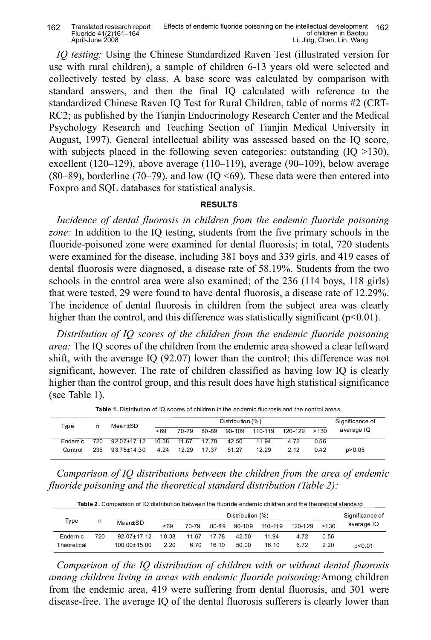| 162 | Translated research report | Effects of endemic fluoride poisoning on the intellectual development 162 |  |
|-----|----------------------------|---------------------------------------------------------------------------|--|
|     | Fluoride 41(2)161-164      | of children in Baotou                                                     |  |
|     | April-June 2008            | Li, Jing, Chen, Lin, Wang                                                 |  |

*IQ testing:* Using the Chinese Standardized Raven Test (illustrated version for use with rural children), a sample of children 6-13 years old were selected and collectively tested by class. A base score was calculated by comparison with standard answers, and then the final IQ calculated with reference to the standardized Chinese Raven IQ Test for Rural Children, table of norms #2 (CRT-RC2; as published by the Tianjin Endocrinology Research Center and the Medical Psychology Research and Teaching Section of Tianjin Medical University in August, 1997). General intellectual ability was assessed based on the IQ score, with subjects placed in the following seven categories: outstanding  $(IQ > 130)$ , excellent (120–129), above average (110–119), average (90–109), below average (80–89), borderline (70–79), and low (IQ <69). These data were then entered into Foxpro and SQL databases for statistical analysis.

# **RESULTS**

*Incidence of dental fluorosis in children from the endemic fluoride poisoning zone:* In addition to the IQ testing, students from the five primary schools in the fluoride-poisoned zone were examined for dental fluorosis; in total, 720 students were examined for the disease, including 381 boys and 339 girls, and 419 cases of dental fluorosis were diagnosed, a disease rate of 58.19%. Students from the two schools in the control area were also examined; of the 236 (114 boys, 118 girls) that were tested, 29 were found to have dental fluorosis, a disease rate of 12.29%. The incidence of dental fluorosis in children from the subject area was clearly higher than the control, and this difference was statistically significant ( $p<0.01$ ).

*Distribution of IQ scores of the children from the endemic fluoride poisoning area:* The IQ scores of the children from the endemic area showed a clear leftward shift, with the average IQ (92.07) lower than the control; this difference was not significant, however. The rate of children classified as having low IQ is clearly higher than the control group, and this result does have high statistical significance (see Table 1).

| Type     | n   | Mean±SD     |       | Significance of |       |        |         |         |      |            |
|----------|-----|-------------|-------|-----------------|-------|--------|---------|---------|------|------------|
|          |     |             | < 69  | 70-79           | 80-89 | 90-109 | 110-119 | 120-129 | >130 | average IQ |
| Endem ic | 720 | 92.07±17.12 | 10.38 | 11.67           | 17.78 | 42.50  | 11.94   | 4.72    | 0.56 |            |
| Control  | 236 | 93.78±14.30 | 4.24  | 12.29           | 17.37 | 51.27  | 12.29   | 2.12    | 0.42 | p > 0.05   |

**Table 1.** Distribution of IQ scores of children in the endemic fluorosis and the control areas

*Comparison of IQ distributions between the children from the area of endemic fluoride poisoning and the theoretical standard distribution (Table 2):*

| Table 2. Comparison of IQ distribution between the fluoride endem ic children and the theoretical standard |     |                   |       |       |       |                  |             |         |       |                 |  |
|------------------------------------------------------------------------------------------------------------|-----|-------------------|-------|-------|-------|------------------|-------------|---------|-------|-----------------|--|
|                                                                                                            | n   |                   |       |       |       | Distribution (%) |             |         |       | Significance of |  |
| Type                                                                                                       |     | $Mean \pm SD$     | < 69  | 70-79 | 80-89 | 90-109           | $110 - 119$ | 120-129 | >1.30 | average IQ      |  |
| Endemic                                                                                                    | 720 | $92.07 \pm 17.12$ | 10.38 | 11.67 | 17 78 | 42.50            | 11 94       | 4.72    | 0.56  |                 |  |
| Theoretical                                                                                                |     | $100.00 + 15.00$  | 2.20  | 6.70  | 16.10 | 50.00            | 16.10       | 6.72    | 2.20  | p < 0.01        |  |

*Comparison of the IQ distribution of children with or without dental fluorosis among children living in areas with endemic fluoride poisoning:*Among children from the endemic area, 419 were suffering from dental fluorosis, and 301 were disease-free. The average IQ of the dental fluorosis sufferers is clearly lower than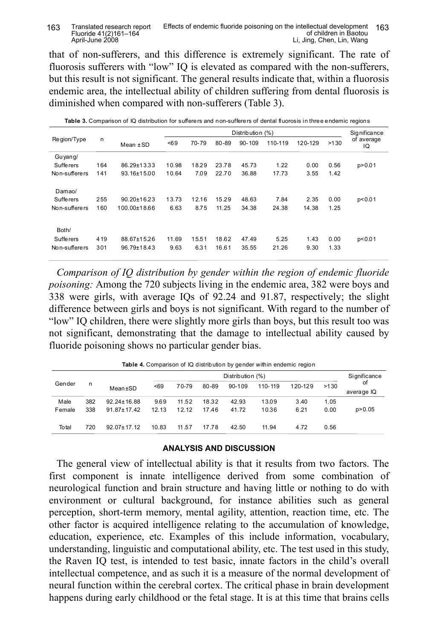#### Translated research report Fluoride 41(2)161–164 April-June 2008 163 I ranslated research report Effects of endemic fluoride poisoning on the intellectual development 163 of children in Baotou Li, Jing, Chen, Lin, Wang

that of non-sufferers, and this difference is extremely significant. The rate of fluorosis sufferers with "low" IQ is elevated as compared with the non-sufferers, but this result is not significant. The general results indicate that, within a fluorosis endemic area, the intellectual ability of children suffering from dental fluorosis is diminished when compared with non-sufferers (Table 3).

|               |     |                   |       |       |       | Distribution (%) |         |         |      | <b>Significance</b> |
|---------------|-----|-------------------|-------|-------|-------|------------------|---------|---------|------|---------------------|
| Region/Type   | n   | Mean $\pm$ SD     | 58    | 70-79 | 80-89 | $90 - 109$       | 110-119 | 120-129 | >130 | of average<br>IQ    |
| Guyang/       |     |                   |       |       |       |                  |         |         |      |                     |
| Suffe rers    | 164 | 86.29±13.33       | 10.98 | 18.29 | 23.78 | 45.73            | 1.22    | 0.00    | 0.56 | p > 0.01            |
| Non-sufferers | 141 | 93.16±15.00       | 10.64 | 7.09  | 22.70 | 36.88            | 17.73   | 3.55    | 1.42 |                     |
| Damao/        |     |                   |       |       |       |                  |         |         |      |                     |
| Suffe rers    | 255 | $90.20 \pm 16.23$ | 13.73 | 12.16 | 15.29 | 48.63            | 7.84    | 2.35    | 0.00 | p < 0.01            |
| Non-sufferers | 160 | 100.00±18.66      | 6.63  | 8.75  | 11.25 | 34.38            | 24.38   | 14.38   | 1.25 |                     |
| Both/         |     |                   |       |       |       |                  |         |         |      |                     |
| Suffe rers    | 419 | 88.67±15.26       | 11.69 | 15.51 | 18.62 | 47.49            | 5.25    | 1.43    | 0.00 | p < 0.01            |
| Non-sufferers | 301 | 96.79±18.43       | 9.63  | 6.31  | 16.61 | 35.55            | 21.26   | 9.30    | 1.33 |                     |

 **Table 3.** Comparison of IQ distribution for sufferers and non-sufferers of dental fluorosis in three endemic regions

*Comparison of IQ distribution by gender within the region of endemic fluoride poisoning:* Among the 720 subjects living in the endemic area, 382 were boys and 338 were girls, with average IQs of 92.24 and 91.87, respectively; the slight difference between girls and boys is not significant. With regard to the number of "low" IQ children, there were slightly more girls than boys, but this result too was not significant, demonstrating that the damage to intellectual ability caused by fluoride poisoning shows no particular gender bias.

| <b>Table 4.</b> Comparison of IQ distribution by dender within endemic region |     |                   |       |       |           |          |         |         |      |                  |  |
|-------------------------------------------------------------------------------|-----|-------------------|-------|-------|-----------|----------|---------|---------|------|------------------|--|
|                                                                               | n   | Distribution (%)  |       |       |           |          |         |         |      |                  |  |
| Gender                                                                        |     | Mean±SD           | < 69  | 70-79 | $80 - 89$ | $90-109$ | 110-119 | 120-129 | >130 | οf<br>average IQ |  |
| Male                                                                          | 382 | $92.24 \pm 16.88$ | 9.69  | 11.52 | 18.32     | 42.93    | 13.09   | 3.40    | 1.05 |                  |  |
| Female                                                                        | 338 | $91.87 \pm 17.42$ | 12.13 | 12.12 | 17.46     | 41.72    | 10.36   | 6.21    | 0.00 | p > 0.05         |  |
| To tal                                                                        | 720 | $92.07 \pm 17.12$ | 10.83 | 11.57 | 17.78     | 42.50    | 11.94   | 4.72    | 0.56 |                  |  |

**Table 4.** Comparison of IQ distribution by gender within endemic region

#### **ANALYSIS AND DISCUSSION**

The general view of intellectual ability is that it results from two factors. The first component is innate intelligence derived from some combination of neurological function and brain structure and having little or nothing to do with environment or cultural background, for instance abilities such as general perception, short-term memory, mental agility, attention, reaction time, etc. The other factor is acquired intelligence relating to the accumulation of knowledge, education, experience, etc. Examples of this include information, vocabulary, understanding, linguistic and computational ability, etc. The test used in this study, the Raven IQ test, is intended to test basic, innate factors in the child's overall intellectual competence, and as such it is a measure of the normal development of neural function within the cerebral cortex. The critical phase in brain development happens during early childhood or the fetal stage. It is at this time that brains cells